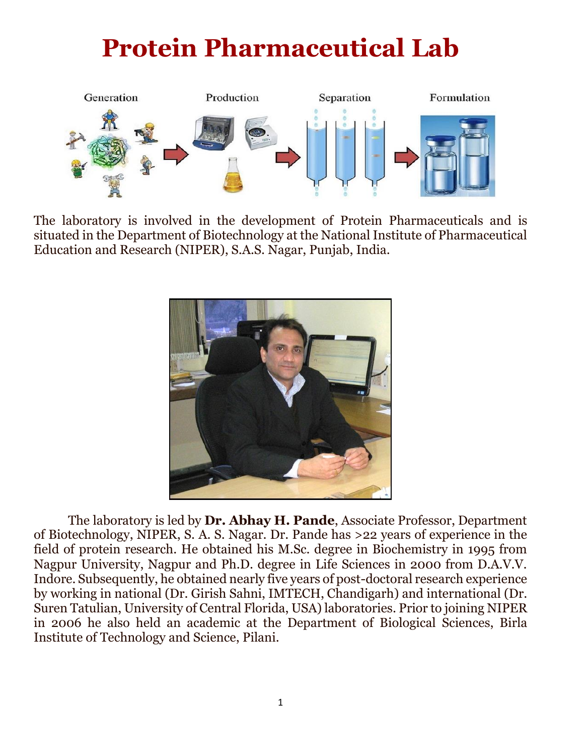# **Protein Pharmaceutical Lab**



The laboratory is involved in the development of Protein Pharmaceuticals and is situated in the Department of Biotechnology at the National Institute of Pharmaceutical Education and Research (NIPER), S.A.S. Nagar, Punjab, India.



The laboratory is led by **Dr. Abhay H. Pande**, Associate Professor, Department of Biotechnology, NIPER, S. A. S. Nagar. Dr. Pande has >22 years of experience in the field of protein research. He obtained his M.Sc. degree in Biochemistry in 1995 from Nagpur University, Nagpur and Ph.D. degree in Life Sciences in 2000 from D.A.V.V. Indore. Subsequently, he obtained nearly five years of post-doctoral research experience by working in national (Dr. Girish Sahni, IMTECH, Chandigarh) and international (Dr. Suren Tatulian, University of Central Florida, USA) laboratories. Prior to joining NIPER in 2006 he also held an academic at the Department of Biological Sciences, Birla Institute of Technology and Science, Pilani.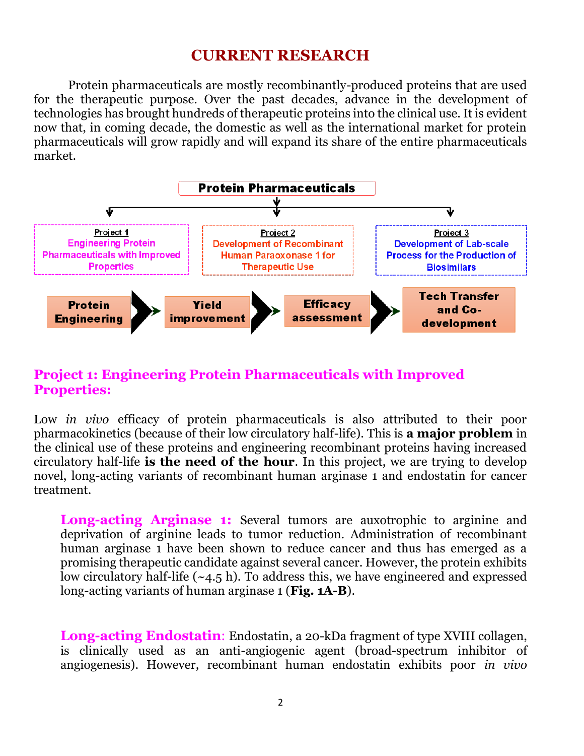## **CURRENT RESEARCH**

Protein pharmaceuticals are mostly recombinantly-produced proteins that are used for the therapeutic purpose. Over the past decades, advance in the development of technologies has brought hundreds of therapeutic proteins into the clinical use. It is evident now that, in coming decade, the domestic as well as the international market for protein pharmaceuticals will grow rapidly and will expand its share of the entire pharmaceuticals market.



#### **Project 1: Engineering Protein Pharmaceuticals with Improved Properties:**

Low *in vivo* efficacy of protein pharmaceuticals is also attributed to their poor pharmacokinetics (because of their low circulatory half-life). This is **a major problem** in the clinical use of these proteins and engineering recombinant proteins having increased circulatory half-life **is the need of the hour**. In this project, we are trying to develop novel, long-acting variants of recombinant human arginase 1 and endostatin for cancer treatment.

**Long-acting Arginase 1:** Several tumors are auxotrophic to arginine and deprivation of arginine leads to tumor reduction. Administration of recombinant human arginase 1 have been shown to reduce cancer and thus has emerged as a promising therapeutic candidate against several cancer. However, the protein exhibits low circulatory half-life (~4.5 h). To address this, we have engineered and expressed long-acting variants of human arginase 1 (**Fig. 1A-B**).

**Long-acting Endostatin**: Endostatin, a 20-kDa fragment of type XVIII collagen, is clinically used as an anti-angiogenic agent (broad-spectrum inhibitor of angiogenesis). However, recombinant human endostatin exhibits poor *in vivo*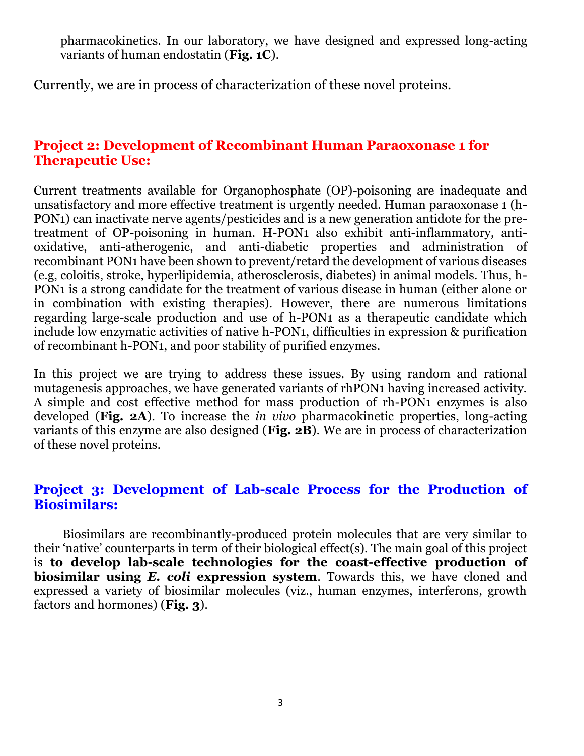pharmacokinetics. In our laboratory, we have designed and expressed long-acting variants of human endostatin (**Fig. 1C**).

Currently, we are in process of characterization of these novel proteins.

#### **Project 2: Development of Recombinant Human Paraoxonase 1 for Therapeutic Use:**

Current treatments available for Organophosphate (OP)-poisoning are inadequate and unsatisfactory and more effective treatment is urgently needed. Human paraoxonase 1 (h-PON1) can inactivate nerve agents/pesticides and is a new generation antidote for the pretreatment of OP-poisoning in human. H-PON1 also exhibit anti-inflammatory, antioxidative, anti-atherogenic, and anti-diabetic properties and administration of recombinant PON1 have been shown to prevent/retard the development of various diseases (e.g, coloitis, stroke, hyperlipidemia, atherosclerosis, diabetes) in animal models. Thus, h-PON1 is a strong candidate for the treatment of various disease in human (either alone or in combination with existing therapies). However, there are numerous limitations regarding large-scale production and use of h-PON1 as a therapeutic candidate which include low enzymatic activities of native h-PON1, difficulties in expression & purification of recombinant h-PON1, and poor stability of purified enzymes.

In this project we are trying to address these issues. By using random and rational mutagenesis approaches, we have generated variants of rhPON1 having increased activity. A simple and cost effective method for mass production of rh-PON1 enzymes is also developed (**Fig. 2A**). To increase the *in vivo* pharmacokinetic properties, long-acting variants of this enzyme are also designed (**Fig. 2B**). We are in process of characterization of these novel proteins.

#### **Project 3: Development of Lab-scale Process for the Production of Biosimilars:**

 Biosimilars are recombinantly-produced protein molecules that are very similar to their 'native' counterparts in term of their biological effect(s). The main goal of this project is **to develop lab-scale technologies for the coast-effective production of biosimilar using** *E. coli* **expression system**. Towards this, we have cloned and expressed a variety of biosimilar molecules (viz., human enzymes, interferons, growth factors and hormones) (**Fig. 3**).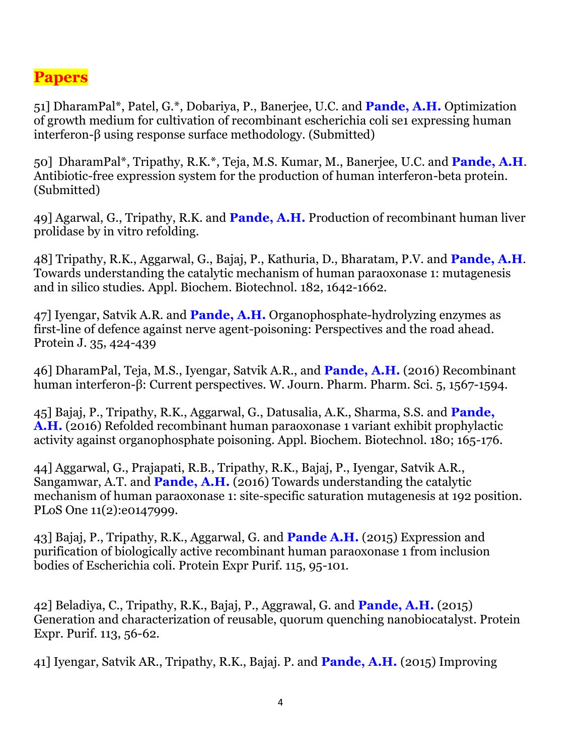## **Papers**

51] DharamPal\*, Patel, G.\*, Dobariya, P., Banerjee, U.C. and **Pande, A.H.** Optimization of growth medium for cultivation of recombinant escherichia coli se1 expressing human interferon-β using response surface methodology. (Submitted)

50] DharamPal\*, Tripathy, R.K.\*, Teja, M.S. Kumar, M., Banerjee, U.C. and **Pande, A.H**. Antibiotic-free expression system for the production of human interferon-beta protein. (Submitted)

49] Agarwal, G., Tripathy, R.K. and **Pande, A.H.** Production of recombinant human liver prolidase by in vitro refolding.

48] Tripathy, R.K., Aggarwal, G., Bajaj, P., Kathuria, D., Bharatam, P.V. and **Pande, A.H**. Towards understanding the catalytic mechanism of human paraoxonase 1: mutagenesis and in silico studies. Appl. Biochem. Biotechnol. 182, 1642-1662.

47] Iyengar, Satvik A.R. and **Pande, A.H.** Organophosphate-hydrolyzing enzymes as first-line of defence against nerve agent-poisoning: Perspectives and the road ahead. Protein J. 35, 424-439

46] DharamPal, Teja, M.S., Iyengar, Satvik A.R., and **Pande, A.H.** (2016) Recombinant human interferon-β: Current perspectives. W. Journ. Pharm. Pharm. Sci. 5, 1567-1594.

45] Bajaj, P., Tripathy, R.K., Aggarwal, G., Datusalia, A.K., Sharma, S.S. and **Pande, A.H.** (2016) Refolded recombinant human paraoxonase 1 variant exhibit prophylactic activity against organophosphate poisoning. Appl. Biochem. Biotechnol. 180; 165-176.

44] Aggarwal, G., Prajapati, R.B., Tripathy, R.K., Bajaj, P., Iyengar, Satvik A.R., Sangamwar, A.T. and **Pande, A.H.** (2016) Towards understanding the catalytic mechanism of human paraoxonase 1: site-specific saturation mutagenesis at 192 position. PLoS One 11(2):e0147999.

43] Bajaj, P., Tripathy, R.K., Aggarwal, G. and **Pande A.H.** (2015) Expression and purification of biologically active recombinant human paraoxonase 1 from inclusion bodies of Escherichia coli. Protein Expr Purif. 115, 95-101.

42] Beladiya, C., Tripathy, R.K., Bajaj, P., Aggrawal, G. and **Pande, A.H.** (2015) Generation and characterization of reusable, quorum quenching nanobiocatalyst. Protein Expr. Purif. 113, 56-62.

41] Iyengar, Satvik AR., Tripathy, R.K., Bajaj. P. and **Pande, A.H.** (2015) Improving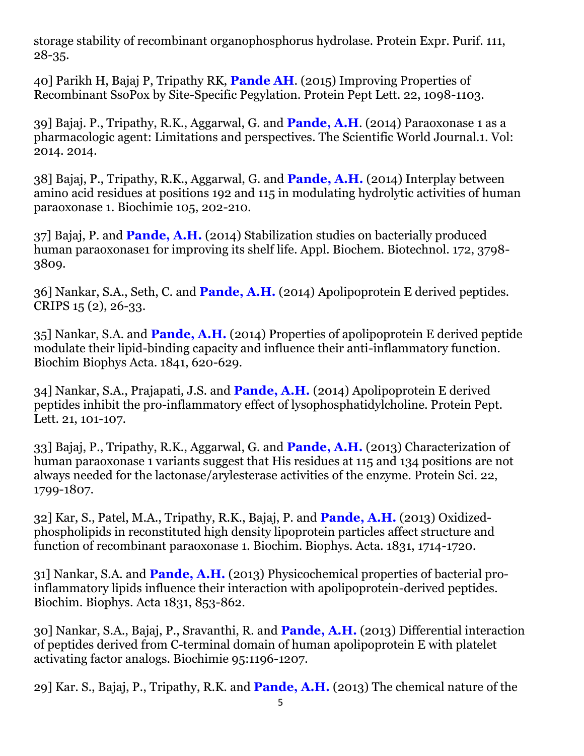storage stability of recombinant organophosphorus hydrolase. Protein Expr. Purif. 111, 28-35.

40] Parikh H, Bajaj P, Tripathy RK, **Pande AH**. (2015) Improving Properties of Recombinant SsoPox by Site-Specific Pegylation. Protein Pept Lett. 22, 1098-1103.

39] Bajaj. P., Tripathy, R.K., Aggarwal, G. and **Pande, A.H**. (2014) Paraoxonase 1 as a pharmacologic agent: Limitations and perspectives. The Scientific World Journal.1. Vol: 2014. 2014.

38] Bajaj, P., Tripathy, R.K., Aggarwal, G. and **Pande, A.H.** (2014) Interplay between amino acid residues at positions 192 and 115 in modulating hydrolytic activities of human paraoxonase 1. Biochimie 105, 202-210.

37] Bajaj, P. and **Pande, A.H.** (2014) Stabilization studies on bacterially produced human paraoxonase1 for improving its shelf life. Appl. Biochem. Biotechnol. 172, 3798-3809.

36] Nankar, S.A., Seth, C. and **Pande, A.H.** (2014) Apolipoprotein E derived peptides. CRIPS 15 (2), 26-33.

35] Nankar, S.A. and **Pande, A.H.** (2014) Properties of apolipoprotein E derived peptide modulate their lipid-binding capacity and influence their anti-inflammatory function. Biochim Biophys Acta. 1841, 620-629.

34] Nankar, S.A., Prajapati, J.S. and **Pande, A.H.** (2014) Apolipoprotein E derived peptides inhibit the pro-inflammatory effect of lysophosphatidylcholine. Protein Pept. Lett. 21, 101-107.

33] Bajaj, P., Tripathy, R.K., Aggarwal, G. and **Pande, A.H.** (2013) Characterization of human paraoxonase 1 variants suggest that His residues at 115 and 134 positions are not always needed for the lactonase/arylesterase activities of the enzyme. Protein Sci. 22, 1799-1807.

32] Kar, S., Patel, M.A., Tripathy, R.K., Bajaj, P. and **Pande, A.H.** (2013) Oxidizedphospholipids in reconstituted high density lipoprotein particles affect structure and function of recombinant paraoxonase 1. Biochim. Biophys. Acta. 1831, 1714-1720.

31] Nankar, S.A. and **Pande, A.H.** (2013) Physicochemical properties of bacterial proinflammatory lipids influence their interaction with apolipoprotein-derived peptides. Biochim. Biophys. Acta 1831, 853-862.

30] Nankar, S.A., Bajaj, P., Sravanthi, R. and **Pande, A.H.** (2013) Differential interaction of peptides derived from C-terminal domain of human apolipoprotein E with platelet activating factor analogs. Biochimie 95:1196-1207.

29] Kar. S., Bajaj, P., Tripathy, R.K. and **Pande, A.H.** (2013) The chemical nature of the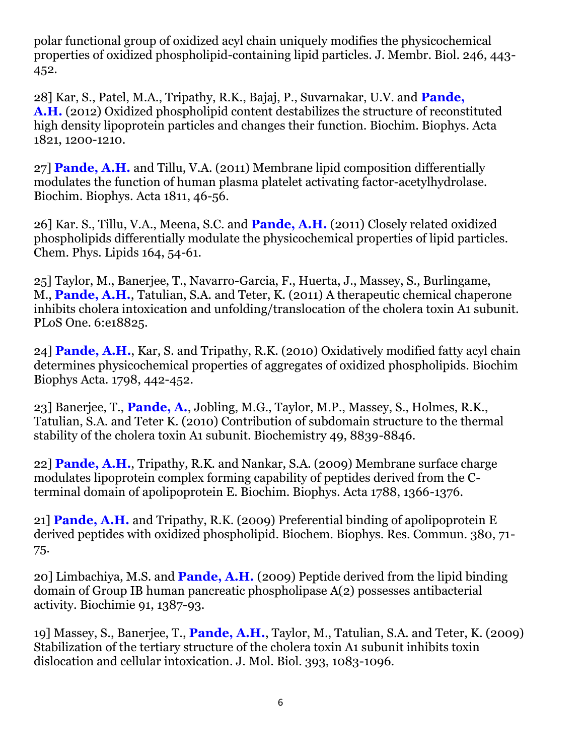polar functional group of oxidized acyl chain uniquely modifies the physicochemical properties of oxidized phospholipid-containing lipid particles. J. Membr. Biol. 246, 443- 452.

28] Kar, S., Patel, M.A., Tripathy, R.K., Bajaj, P., Suvarnakar, U.V. and **Pande, A.H.** (2012) Oxidized phospholipid content destabilizes the structure of reconstituted high density lipoprotein particles and changes their function. Biochim. Biophys. Acta 1821, 1200-1210.

27] **Pande, A.H.** and Tillu, V.A. (2011) Membrane lipid composition differentially modulates the function of human plasma platelet activating factor-acetylhydrolase. Biochim. Biophys. Acta 1811, 46-56.

26] Kar. S., Tillu, V.A., Meena, S.C. and **Pande, A.H.** (2011) Closely related oxidized phospholipids differentially modulate the physicochemical properties of lipid particles. Chem. Phys. Lipids 164, 54-61.

25] Taylor, M., Banerjee, T., Navarro-Garcia, F., Huerta, J., Massey, S., Burlingame, M., **Pande, A.H.**, Tatulian, S.A. and Teter, K. (2011) A therapeutic chemical chaperone inhibits cholera intoxication and unfolding/translocation of the cholera toxin A1 subunit. PLoS One. 6:e18825.

24] **Pande, A.H.**, Kar, S. and Tripathy, R.K. (2010) Oxidatively modified fatty acyl chain determines physicochemical properties of aggregates of oxidized phospholipids. Biochim Biophys Acta. 1798, 442-452.

23] Banerjee, T., **Pande, A.**, Jobling, M.G., Taylor, M.P., Massey, S., Holmes, R.K., Tatulian, S.A. and Teter K. (2010) Contribution of subdomain structure to the thermal stability of the cholera toxin A1 subunit. Biochemistry 49, 8839-8846.

22] **Pande, A.H.**, Tripathy, R.K. and Nankar, S.A. (2009) Membrane surface charge modulates lipoprotein complex forming capability of peptides derived from the Cterminal domain of apolipoprotein E. Biochim. Biophys. Acta 1788, 1366-1376.

21] **Pande, A.H.** and Tripathy, R.K. (2009) Preferential binding of apolipoprotein E derived peptides with oxidized phospholipid. Biochem. Biophys. Res. Commun. 380, 71- 75.

20] Limbachiya, M.S. and **Pande, A.H.** (2009) Peptide derived from the lipid binding domain of Group IB human pancreatic phospholipase A(2) possesses antibacterial activity. Biochimie 91, 1387-93.

19] Massey, S., Banerjee, T., **Pande, A.H.**, Taylor, M., Tatulian, S.A. and Teter, K. (2009) Stabilization of the tertiary structure of the cholera toxin A1 subunit inhibits toxin dislocation and cellular intoxication. J. Mol. Biol. 393, 1083-1096.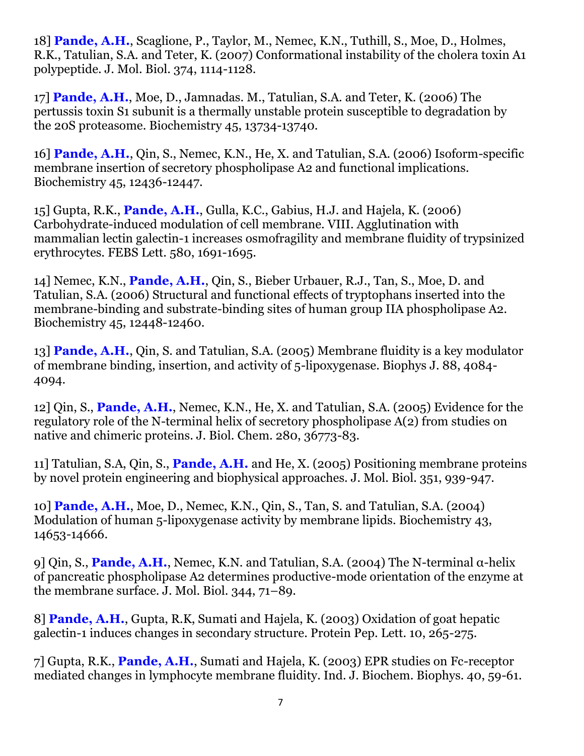18] **Pande, A.H.**, Scaglione, P., Taylor, M., Nemec, K.N., Tuthill, S., Moe, D., Holmes, R.K., Tatulian, S.A. and Teter, K. (2007) Conformational instability of the cholera toxin A1 polypeptide. J. Mol. Biol. 374, 1114-1128.

17] **Pande, A.H.**, Moe, D., Jamnadas. M., Tatulian, S.A. and Teter, K. (2006) The pertussis toxin S1 subunit is a thermally unstable protein susceptible to degradation by the 20S proteasome. Biochemistry 45, 13734-13740.

16] **Pande, A.H.**, Qin, S., Nemec, K.N., He, X. and Tatulian, S.A. (2006) Isoform-specific membrane insertion of secretory phospholipase A2 and functional implications. Biochemistry 45, 12436-12447.

15] Gupta, R.K., **Pande, A.H.**, Gulla, K.C., Gabius, H.J. and Hajela, K. (2006) Carbohydrate-induced modulation of cell membrane. VIII. Agglutination with mammalian lectin galectin-1 increases osmofragility and membrane fluidity of trypsinized erythrocytes. FEBS Lett. 580, 1691-1695.

14] Nemec, K.N., **Pande, A.H.**, Qin, S., Bieber Urbauer, R.J., Tan, S., Moe, D. and Tatulian, S.A. (2006) Structural and functional effects of tryptophans inserted into the membrane-binding and substrate-binding sites of human group IIA phospholipase A2. Biochemistry 45, 12448-12460.

13] **Pande, A.H.**, Qin, S. and Tatulian, S.A. (2005) Membrane fluidity is a key modulator of membrane binding, insertion, and activity of 5-lipoxygenase. Biophys J. 88, 4084- 4094.

12] Qin, S., **Pande, A.H.**, Nemec, K.N., He, X. and Tatulian, S.A. (2005) Evidence for the regulatory role of the N-terminal helix of secretory phospholipase A(2) from studies on native and chimeric proteins. J. Biol. Chem. 280, 36773-83.

11] Tatulian, S.A, Qin, S., **Pande, A.H.** and He, X. (2005) Positioning membrane proteins by novel protein engineering and biophysical approaches. J. Mol. Biol. 351, 939-947.

10] **Pande, A.H.**, Moe, D., Nemec, K.N., Qin, S., Tan, S. and Tatulian, S.A. (2004) Modulation of human 5-lipoxygenase activity by membrane lipids. Biochemistry 43, 14653-14666.

9] Qin, S., **Pande, A.H.**, Nemec, K.N. and Tatulian, S.A. (2004) The N-terminal α-helix of pancreatic phospholipase A2 determines productive-mode orientation of the enzyme at the membrane surface. J. Mol. Biol. 344, 71–89.

8] **Pande, A.H.**, Gupta, R.K, Sumati and Hajela, K. (2003) Oxidation of goat hepatic galectin-1 induces changes in secondary structure. Protein Pep. Lett. 10, 265-275.

7] Gupta, R.K., **Pande, A.H.**, Sumati and Hajela, K. (2003) EPR studies on Fc-receptor mediated changes in lymphocyte membrane fluidity. Ind. J. Biochem. Biophys. 40, 59-61.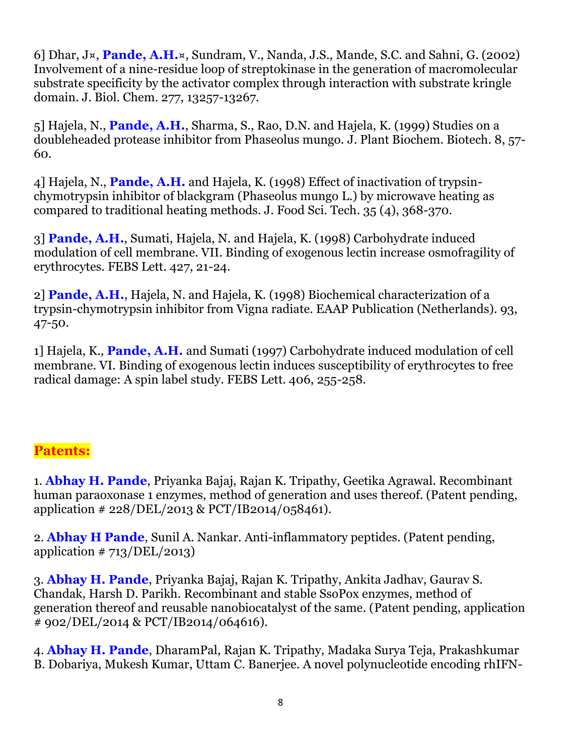6] Dhar, J¤, **Pande, A.H.**¤, Sundram, V., Nanda, J.S., Mande, S.C. and Sahni, G. (2002) Involvement of a nine-residue loop of streptokinase in the generation of macromolecular substrate specificity by the activator complex through interaction with substrate kringle domain. J. Biol. Chem. 277, 13257-13267.

5] Hajela, N., **Pande, A.H.**, Sharma, S., Rao, D.N. and Hajela, K. (1999) Studies on a doubleheaded protease inhibitor from Phaseolus mungo. J. Plant Biochem. Biotech. 8, 57- 60.

4] Hajela, N., **Pande, A.H.** and Hajela, K. (1998) Effect of inactivation of trypsinchymotrypsin inhibitor of blackgram (Phaseolus mungo L.) by microwave heating as compared to traditional heating methods. J. Food Sci. Tech. 35 (4), 368-370.

3] **Pande, A.H.**, Sumati, Hajela, N. and Hajela, K. (1998) Carbohydrate induced modulation of cell membrane. VII. Binding of exogenous lectin increase osmofragility of erythrocytes. FEBS Lett. 427, 21-24.

2] **Pande, A.H.**, Hajela, N. and Hajela, K. (1998) Biochemical characterization of a trypsin-chymotrypsin inhibitor from Vigna radiate. EAAP Publication (Netherlands). 93, 47-50.

1] Hajela, K., **Pande, A.H.** and Sumati (1997) Carbohydrate induced modulation of cell membrane. VI. Binding of exogenous lectin induces susceptibility of erythrocytes to free radical damage: A spin label study. FEBS Lett. 406, 255-258.

### **Patents:**

1. **Abhay H. Pande**, Priyanka Bajaj, Rajan K. Tripathy, Geetika Agrawal. Recombinant human paraoxonase 1 enzymes, method of generation and uses thereof. (Patent pending, application # 228/DEL/2013 & PCT/IB2014/058461).

2. **Abhay H Pande**, Sunil A. Nankar. Anti-inflammatory peptides. (Patent pending, application  $\# 713/DEL/2013$ 

3. **Abhay H. Pande**, Priyanka Bajaj, Rajan K. Tripathy, Ankita Jadhav, Gaurav S. Chandak, Harsh D. Parikh. Recombinant and stable SsoPox enzymes, method of generation thereof and reusable nanobiocatalyst of the same. (Patent pending, application # 902/DEL/2014 & PCT/IB2014/064616).

4. **Abhay H. Pande**, DharamPal, Rajan K. Tripathy, Madaka Surya Teja, Prakashkumar B. Dobariya, Mukesh Kumar, Uttam C. Banerjee. A novel polynucleotide encoding rhIFN-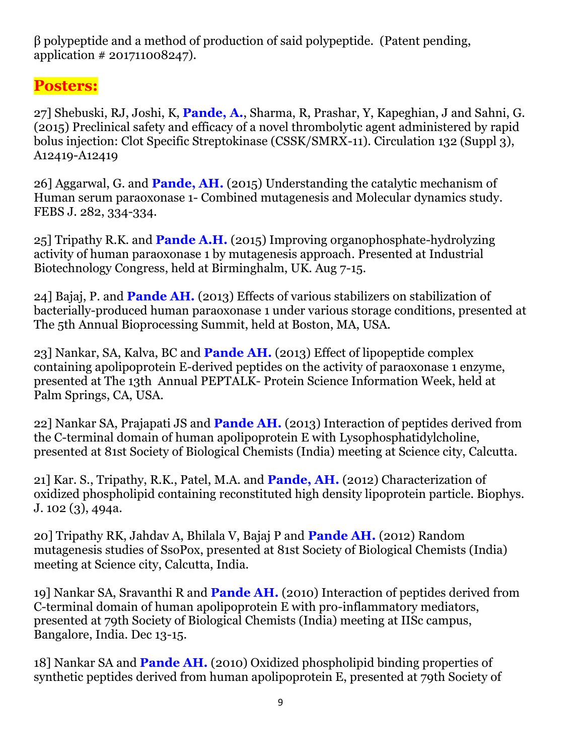β polypeptide and a method of production of said polypeptide. (Patent pending, application # 201711008247).

# **Posters:**

27] Shebuski, RJ, Joshi, K, **Pande, A.**, Sharma, R, Prashar, Y, Kapeghian, J and Sahni, G. (2015) Preclinical safety and efficacy of a novel thrombolytic agent administered by rapid bolus injection: Clot Specific Streptokinase (CSSK/SMRX-11). Circulation 132 (Suppl 3), A12419-A12419

26] Aggarwal, G. and **Pande, AH.** (2015) Understanding the catalytic mechanism of Human serum paraoxonase 1- Combined mutagenesis and Molecular dynamics study. FEBS J. 282, 334-334.

25] Tripathy R.K. and **Pande A.H.** (2015) Improving organophosphate-hydrolyzing activity of human paraoxonase 1 by mutagenesis approach. Presented at Industrial Biotechnology Congress, held at Birminghalm, UK. Aug 7-15.

24] Bajaj, P. and **Pande AH.** (2013) Effects of various stabilizers on stabilization of bacterially-produced human paraoxonase 1 under various storage conditions, presented at The 5th Annual Bioprocessing Summit, held at Boston, MA, USA.

23] Nankar, SA, Kalva, BC and **Pande AH.** (2013) Effect of lipopeptide complex containing apolipoprotein E-derived peptides on the activity of paraoxonase 1 enzyme, presented at The 13th Annual PEPTALK- Protein Science Information Week, held at Palm Springs, CA, USA.

22] Nankar SA, Prajapati JS and **Pande AH.** (2013) Interaction of peptides derived from the C-terminal domain of human apolipoprotein E with Lysophosphatidylcholine, presented at 81st Society of Biological Chemists (India) meeting at Science city, Calcutta.

21] Kar. S., Tripathy, R.K., Patel, M.A. and **Pande, AH.** (2012) Characterization of oxidized phospholipid containing reconstituted high density lipoprotein particle. Biophys. J. 102 (3), 494a.

20] Tripathy RK, Jahdav A, Bhilala V, Bajaj P and **Pande AH.** (2012) Random mutagenesis studies of SsoPox, presented at 81st Society of Biological Chemists (India) meeting at Science city, Calcutta, India.

19] Nankar SA, Sravanthi R and **Pande AH.** (2010) Interaction of peptides derived from C-terminal domain of human apolipoprotein E with pro-inflammatory mediators, presented at 79th Society of Biological Chemists (India) meeting at IISc campus, Bangalore, India. Dec 13-15.

18] Nankar SA and **Pande AH.** (2010) Oxidized phospholipid binding properties of synthetic peptides derived from human apolipoprotein E, presented at 79th Society of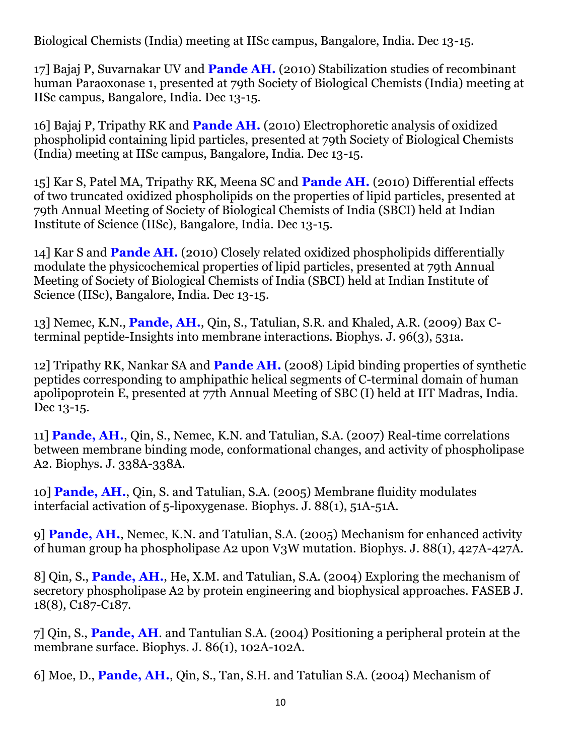Biological Chemists (India) meeting at IISc campus, Bangalore, India. Dec 13-15.

17] Bajaj P, Suvarnakar UV and **Pande AH.** (2010) Stabilization studies of recombinant human Paraoxonase 1, presented at 79th Society of Biological Chemists (India) meeting at IISc campus, Bangalore, India. Dec 13-15.

16] Bajaj P, Tripathy RK and **Pande AH.** (2010) Electrophoretic analysis of oxidized phospholipid containing lipid particles, presented at 79th Society of Biological Chemists (India) meeting at IISc campus, Bangalore, India. Dec 13-15.

15] Kar S, Patel MA, Tripathy RK, Meena SC and **Pande AH.** (2010) Differential effects of two truncated oxidized phospholipids on the properties of lipid particles, presented at 79th Annual Meeting of Society of Biological Chemists of India (SBCI) held at Indian Institute of Science (IISc), Bangalore, India. Dec 13-15.

14] Kar S and **Pande AH.** (2010) Closely related oxidized phospholipids differentially modulate the physicochemical properties of lipid particles, presented at 79th Annual Meeting of Society of Biological Chemists of India (SBCI) held at Indian Institute of Science (IISc), Bangalore, India. Dec 13-15.

13] Nemec, K.N., **Pande, AH.**, Qin, S., Tatulian, S.R. and Khaled, A.R. (2009) Bax Cterminal peptide-Insights into membrane interactions. Biophys. J. 96(3), 531a.

12] Tripathy RK, Nankar SA and **Pande AH.** (2008) Lipid binding properties of synthetic peptides corresponding to amphipathic helical segments of C-terminal domain of human apolipoprotein E, presented at 77th Annual Meeting of SBC (I) held at IIT Madras, India. Dec 13-15.

11] **Pande, AH.**, Qin, S., Nemec, K.N. and Tatulian, S.A. (2007) Real-time correlations between membrane binding mode, conformational changes, and activity of phospholipase A2. Biophys. J. 338A-338A.

10] **Pande, AH.**, Qin, S. and Tatulian, S.A. (2005) Membrane fluidity modulates interfacial activation of 5-lipoxygenase. Biophys. J. 88(1), 51A-51A.

9] **Pande, AH.**, Nemec, K.N. and Tatulian, S.A. (2005) Mechanism for enhanced activity of human group ha phospholipase A2 upon V3W mutation. Biophys. J. 88(1), 427A-427A.

8] Qin, S., **Pande, AH.**, He, X.M. and Tatulian, S.A. (2004) Exploring the mechanism of secretory phospholipase A2 by protein engineering and biophysical approaches. FASEB J. 18(8), C187-C187.

7] Qin, S., **Pande, AH**. and Tantulian S.A. (2004) Positioning a peripheral protein at the membrane surface. Biophys. J. 86(1), 102A-102A.

6] Moe, D., **Pande, AH.**, Qin, S., Tan, S.H. and Tatulian S.A. (2004) Mechanism of